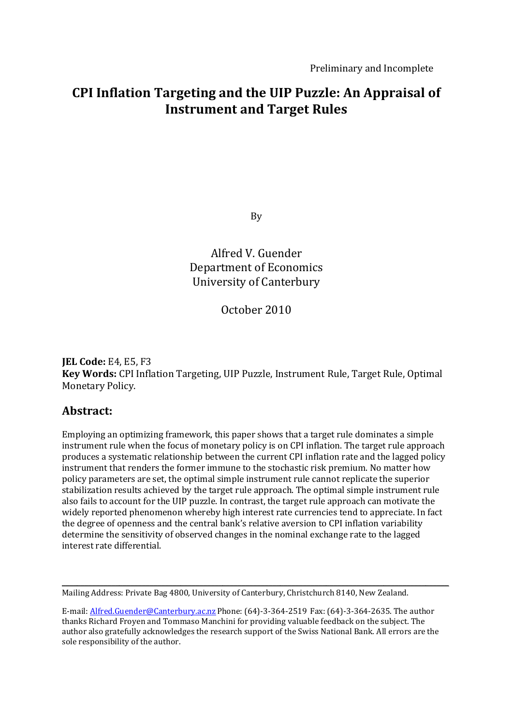# **CPI Inflation Targeting and the UIP Puzzle: An Appraisal of Instrument and Target Rules**

By

Alfred V. Guender Department of Economics University of Canterbury

October 2010

**JEL Code:** E4, E5, F3 **Key Words:** CPI Inflation Targeting, UIP Puzzle, Instrument Rule, Target Rule, Optimal Monetary Policy.

# **Abstract:**

Employing an optimizing framework, this paper shows that a target rule dominates a simple instrument rule when the focus of monetary policy is on CPI inflation. The target rule approach produces a systematic relationship between the current CPI inflation rate and the lagged policy instrument that renders the former immune to the stochastic risk premium. No matter how policy parameters are set, the optimal simple instrument rule cannot replicate the superior stabilization results achieved by the target rule approach. The optimal simple instrument rule also fails to account for the UIP puzzle. In contrast, the target rule approach can motivate the widely reported phenomenon whereby high interest rate currencies tend to appreciate. In fact the degree of openness and the central bank's relative aversion to CPI inflation variability determine the sensitivity of observed changes in the nominal exchange rate to the lagged interest rate differential.

Mailing Address: Private Bag 4800, University of Canterbury, Christchurch 8140, New Zealand.

E-mail: Alfred.Guender@Canterbury.ac.nz Phone: (64)-3-364-2519 Fax: (64)-3-364-2635. The author thanks Richard Froyen and Tommaso Manchini for providing valuable feedback on the subject. The author also gratefully acknowledges the research support of the Swiss National Bank. All errors are the sole responsibility of the author.

\_\_\_\_\_\_\_\_\_\_\_\_\_\_\_\_\_\_\_\_\_\_\_\_\_\_\_\_\_\_\_\_\_\_\_\_\_\_\_\_\_\_\_\_\_\_\_\_\_\_\_\_\_\_\_\_\_\_\_\_\_\_\_\_\_\_\_\_\_\_\_\_\_\_\_\_\_\_\_\_\_\_\_\_\_\_\_\_\_\_\_\_\_\_\_\_\_\_\_\_\_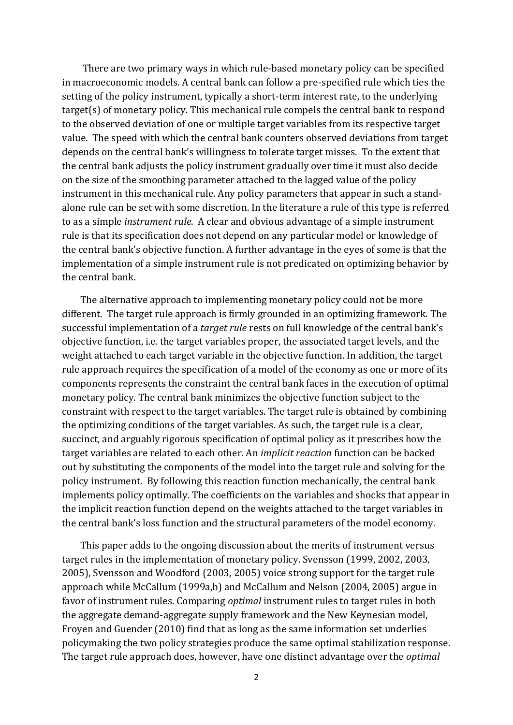There are two primary ways in which rule-based monetary policy can be specified in macroeconomic models. A central bank can follow a pre-specified rule which ties the setting of the policy instrument, typically a short-term interest rate, to the underlying target(s) of monetary policy. This mechanical rule compels the central bank to respond to the observed deviation of one or multiple target variables from its respective target value. The speed with which the central bank counters observed deviations from target depends on the central bank's willingness to tolerate target misses. To the extent that the central bank adjusts the policy instrument gradually over time it must also decide on the size of the smoothing parameter attached to the lagged value of the policy instrument in this mechanical rule. Any policy parameters that appear in such a standalone rule can be set with some discretion. In the literature a rule of this type is referred to as a simple *instrument rule*. A clear and obvious advantage of a simple instrument rule is that its specification does not depend on any particular model or knowledge of the central bank's objective function. A further advantage in the eyes of some is that the implementation of a simple instrument rule is not predicated on optimizing behavior by the central bank.

The alternative approach to implementing monetary policy could not be more different. The target rule approach is firmly grounded in an optimizing framework. The successful implementation of a *target rule* rests on full knowledge of the central bank's objective function, i.e. the target variables proper, the associated target levels, and the weight attached to each target variable in the objective function. In addition, the target rule approach requires the specification of a model of the economy as one or more of its components represents the constraint the central bank faces in the execution of optimal monetary policy. The central bank minimizes the objective function subject to the constraint with respect to the target variables. The target rule is obtained by combining the optimizing conditions of the target variables. As such, the target rule is a clear, succinct, and arguably rigorous specification of optimal policy as it prescribes how the target variables are related to each other. An *implicit reaction* function can be backed out by substituting the components of the model into the target rule and solving for the policy instrument. By following this reaction function mechanically, the central bank implements policy optimally. The coefficients on the variables and shocks that appear in the implicit reaction function depend on the weights attached to the target variables in the central bank's loss function and the structural parameters of the model economy.

This paper adds to the ongoing discussion about the merits of instrument versus target rules in the implementation of monetary policy. Svensson (1999, 2002, 2003, 2005), Svensson and Woodford (2003, 2005) voice strong support for the target rule approach while McCallum (1999a,b) and McCallum and Nelson (2004, 2005) argue in favor of instrument rules. Comparing *optimal* instrument rules to target rules in both the aggregate demand-aggregate supply framework and the New Keynesian model, Froyen and Guender (2010) find that as long as the same information set underlies policymaking the two policy strategies produce the same optimal stabilization response. The target rule approach does, however, have one distinct advantage over the *optimal*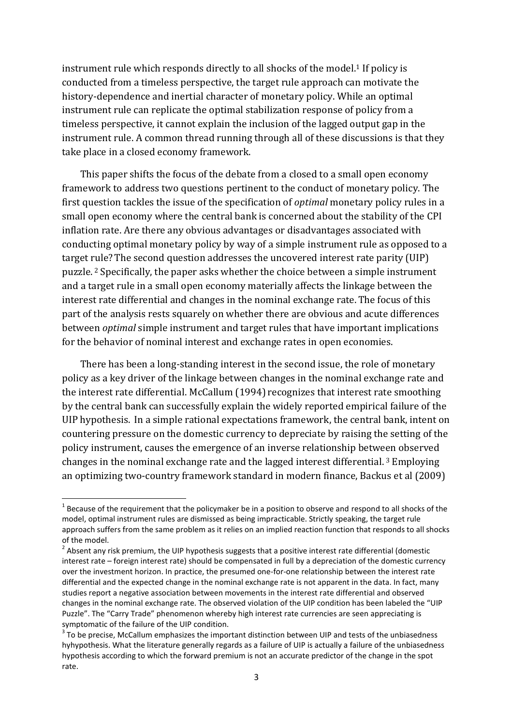instrument rule which responds directly to all shocks of the model.<sup>1</sup> If policy is conducted from a timeless perspective, the target rule approach can motivate the history-dependence and inertial character of monetary policy. While an optimal instrument rule can replicate the optimal stabilization response of policy from a timeless perspective, it cannot explain the inclusion of the lagged output gap in the instrument rule. A common thread running through all of these discussions is that they take place in a closed economy framework.

This paper shifts the focus of the debate from a closed to a small open economy framework to address two questions pertinent to the conduct of monetary policy. The first question tackles the issue of the specification of *optimal* monetary policy rules in a small open economy where the central bank is concerned about the stability of the CPI inflation rate. Are there any obvious advantages or disadvantages associated with conducting optimal monetary policy by way of a simple instrument rule as opposed to a target rule? The second question addresses the uncovered interest rate parity (UIP) puzzle. <sup>2</sup> Specifically, the paper asks whether the choice between a simple instrument and a target rule in a small open economy materially affects the linkage between the interest rate differential and changes in the nominal exchange rate. The focus of this part of the analysis rests squarely on whether there are obvious and acute differences between *optimal* simple instrument and target rules that have important implications for the behavior of nominal interest and exchange rates in open economies.

There has been a long-standing interest in the second issue, the role of monetary policy as a key driver of the linkage between changes in the nominal exchange rate and the interest rate differential. McCallum (1994) recognizes that interest rate smoothing by the central bank can successfully explain the widely reported empirical failure of the UIP hypothesis. In a simple rational expectations framework, the central bank, intent on countering pressure on the domestic currency to depreciate by raising the setting of the policy instrument, causes the emergence of an inverse relationship between observed changes in the nominal exchange rate and the lagged interest differential. <sup>3</sup> Employing an optimizing two-country framework standard in modern finance, Backus et al (2009)

 1 Because of the requirement that the policymaker be in a position to observe and respond to all shocks of the model, optimal instrument rules are dismissed as being impracticable. Strictly speaking, the target rule approach suffers from the same problem as it relies on an implied reaction function that responds to all shocks of the model.

 $2$  Absent any risk premium, the UIP hypothesis suggests that a positive interest rate differential (domestic interest rate – foreign interest rate) should be compensated in full by a depreciation of the domestic currency over the investment horizon. In practice, the presumed one-for-one relationship between the interest rate differential and the expected change in the nominal exchange rate is not apparent in the data. In fact, many studies report a negative association between movements in the interest rate differential and observed changes in the nominal exchange rate. The observed violation of the UIP condition has been labeled the "UIP Puzzle". The "Carry Trade" phenomenon whereby high interest rate currencies are seen appreciating is symptomatic of the failure of the UIP condition.

 $3$  To be precise, McCallum emphasizes the important distinction between UIP and tests of the unbiasedness hyhypothesis. What the literature generally regards as a failure of UIP is actually a failure of the unbiasedness hypothesis according to which the forward premium is not an accurate predictor of the change in the spot rate.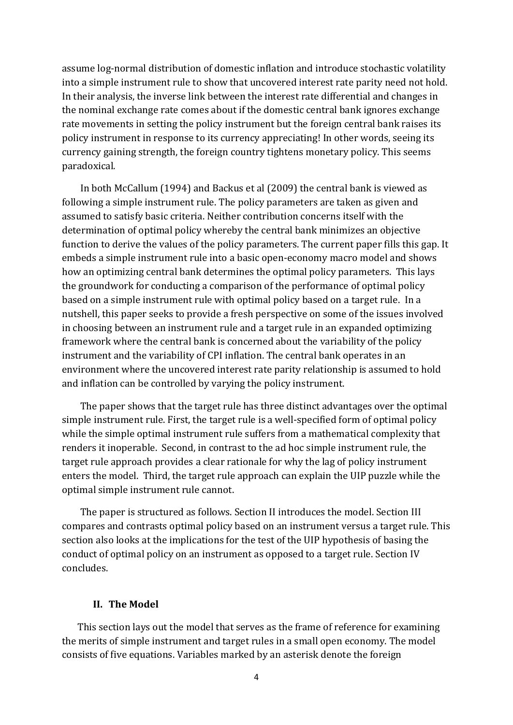assume log-normal distribution of domestic inflation and introduce stochastic volatility into a simple instrument rule to show that uncovered interest rate parity need not hold. In their analysis, the inverse link between the interest rate differential and changes in the nominal exchange rate comes about if the domestic central bank ignores exchange rate movements in setting the policy instrument but the foreign central bank raises its policy instrument in response to its currency appreciating! In other words, seeing its currency gaining strength, the foreign country tightens monetary policy. This seems paradoxical.

In both McCallum (1994) and Backus et al (2009) the central bank is viewed as following a simple instrument rule. The policy parameters are taken as given and assumed to satisfy basic criteria. Neither contribution concerns itself with the determination of optimal policy whereby the central bank minimizes an objective function to derive the values of the policy parameters. The current paper fills this gap. It embeds a simple instrument rule into a basic open-economy macro model and shows how an optimizing central bank determines the optimal policy parameters. This lays the groundwork for conducting a comparison of the performance of optimal policy based on a simple instrument rule with optimal policy based on a target rule. In a nutshell, this paper seeks to provide a fresh perspective on some of the issues involved in choosing between an instrument rule and a target rule in an expanded optimizing framework where the central bank is concerned about the variability of the policy instrument and the variability of CPI inflation. The central bank operates in an environment where the uncovered interest rate parity relationship is assumed to hold and inflation can be controlled by varying the policy instrument.

The paper shows that the target rule has three distinct advantages over the optimal simple instrument rule. First, the target rule is a well-specified form of optimal policy while the simple optimal instrument rule suffers from a mathematical complexity that renders it inoperable. Second, in contrast to the ad hoc simple instrument rule, the target rule approach provides a clear rationale for why the lag of policy instrument enters the model. Third, the target rule approach can explain the UIP puzzle while the optimal simple instrument rule cannot.

The paper is structured as follows. Section II introduces the model. Section III compares and contrasts optimal policy based on an instrument versus a target rule. This section also looks at the implications for the test of the UIP hypothesis of basing the conduct of optimal policy on an instrument as opposed to a target rule. Section IV concludes.

## **II. The Model**

This section lays out the model that serves as the frame of reference for examining the merits of simple instrument and target rules in a small open economy. The model consists of five equations. Variables marked by an asterisk denote the foreign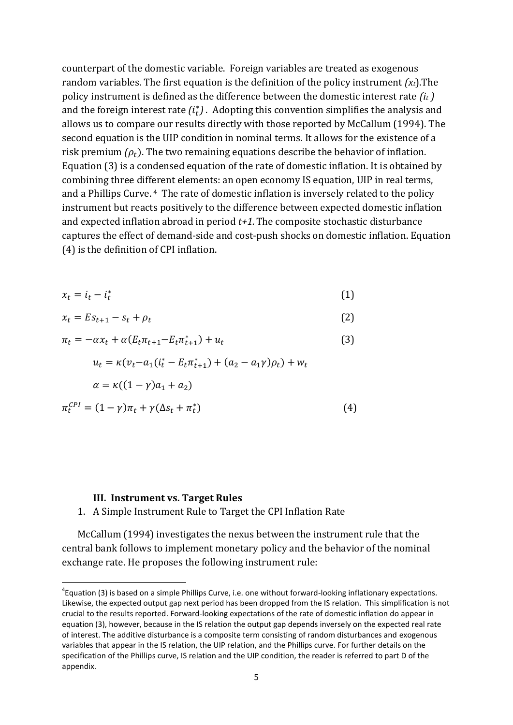counterpart of the domestic variable. Foreign variables are treated as exogenous random variables. The first equation is the definition of the policy instrument *(xt*).The policy instrument is defined as the difference between the domestic interest rate *(i<sup>t</sup> )* and the foreign interest rate  $(i<sub>t</sub><sup>*</sup>)$ . Adopting this convention simplifies the analysis and allows us to compare our results directly with those reported by McCallum (1994). The second equation is the UIP condition in nominal terms. It allows for the existence of a risk premium  $(\rho_t)$ . The two remaining equations describe the behavior of inflation. Equation (3) is a condensed equation of the rate of domestic inflation. It is obtained by combining three different elements: an open economy IS equation, UIP in real terms, and a Phillips Curve. <sup>4</sup> The rate of domestic inflation is inversely related to the policy instrument but reacts positively to the difference between expected domestic inflation and expected inflation abroad in period *t+1.* The composite stochastic disturbance captures the effect of demand-side and cost-push shocks on domestic inflation. Equation (4) is the definition of CPI inflation.

$$
x_t = i_t - i_t^* \tag{1}
$$

$$
x_t = Es_{t+1} - s_t + \rho_t \tag{2}
$$

$$
\pi_t = -\alpha x_t + \alpha (E_t \pi_{t+1} - E_t \pi_{t+1}^*) + u_t \tag{3}
$$

$$
u_t = \kappa (v_t - a_1(i_t^* - E_t \pi_{t+1}^*) + (a_2 - a_1 \gamma) \rho_t) + w_t
$$
  
\n
$$
\alpha = \kappa ((1 - \gamma)a_1 + a_2)
$$
  
\n
$$
\pi_t^{CPI} = (1 - \gamma)\pi_t + \gamma (\Delta s_t + \pi_t^*)
$$
\n(4)

#### **III. Instrument vs. Target Rules**

**.** 

1. A Simple Instrument Rule to Target the CPI Inflation Rate

McCallum (1994) investigates the nexus between the instrument rule that the central bank follows to implement monetary policy and the behavior of the nominal exchange rate. He proposes the following instrument rule:

 ${}^{4}$ Equation (3) is based on a simple Phillips Curve, i.e. one without forward-looking inflationary expectations. Likewise, the expected output gap next period has been dropped from the IS relation. This simplification is not crucial to the results reported. Forward-looking expectations of the rate of domestic inflation do appear in equation (3), however, because in the IS relation the output gap depends inversely on the expected real rate of interest. The additive disturbance is a composite term consisting of random disturbances and exogenous variables that appear in the IS relation, the UIP relation, and the Phillips curve. For further details on the specification of the Phillips curve, IS relation and the UIP condition, the reader is referred to part D of the appendix.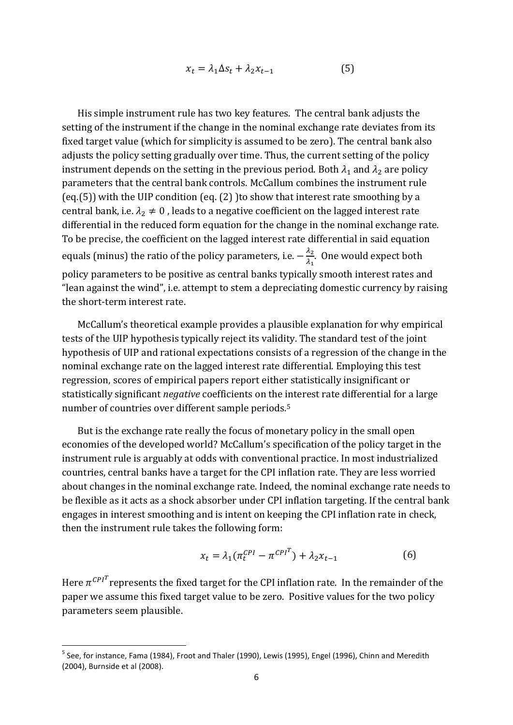$$
x_t = \lambda_1 \Delta s_t + \lambda_2 x_{t-1} \tag{5}
$$

His simple instrument rule has two key features. The central bank adjusts the setting of the instrument if the change in the nominal exchange rate deviates from its fixed target value (which for simplicity is assumed to be zero). The central bank also adjusts the policy setting gradually over time. Thus, the current setting of the policy instrument depends on the setting in the previous period. Both  $\lambda_1$  and  $\lambda_2$  are policy parameters that the central bank controls. McCallum combines the instrument rule (eq.(5)) with the UIP condition (eq. (2) )to show that interest rate smoothing by a central bank, i.e.  $\lambda_2 \neq 0$ , leads to a negative coefficient on the lagged interest rate differential in the reduced form equation for the change in the nominal exchange rate. To be precise, the coefficient on the lagged interest rate differential in said equation equals (minus) the ratio of the policy parameters, i.e.  $-\frac{\lambda}{\lambda}$  $\frac{\lambda_2}{\lambda_1}$ . One would expect both policy parameters to be positive as central banks typically smooth interest rates and "lean against the wind", i.e. attempt to stem a depreciating domestic currency by raising the short-term interest rate.

McCallum's theoretical example provides a plausible explanation for why empirical tests of the UIP hypothesis typically reject its validity. The standard test of the joint hypothesis of UIP and rational expectations consists of a regression of the change in the nominal exchange rate on the lagged interest rate differential. Employing this test regression, scores of empirical papers report either statistically insignificant or statistically significant *negative* coefficients on the interest rate differential for a large number of countries over different sample periods.<sup>5</sup>

But is the exchange rate really the focus of monetary policy in the small open economies of the developed world? McCallum's specification of the policy target in the instrument rule is arguably at odds with conventional practice. In most industrialized countries, central banks have a target for the CPI inflation rate. They are less worried about changes in the nominal exchange rate. Indeed, the nominal exchange rate needs to be flexible as it acts as a shock absorber under CPI inflation targeting. If the central bank engages in interest smoothing and is intent on keeping the CPI inflation rate in check, then the instrument rule takes the following form:

$$
x_t = \lambda_1 (\pi_t^{CPI} - \pi^{CPI^T}) + \lambda_2 x_{t-1}
$$
 (6)

Here  $\pi^{CPI}$  represents the fixed target for the CPI inflation rate. In the remainder of the paper we assume this fixed target value to be zero. Positive values for the two policy parameters seem plausible.

<sup>&</sup>lt;sup>5</sup> See, for instance, Fama (1984), Froot and Thaler (1990), Lewis (1995), Engel (1996), Chinn and Meredith (2004), Burnside et al (2008).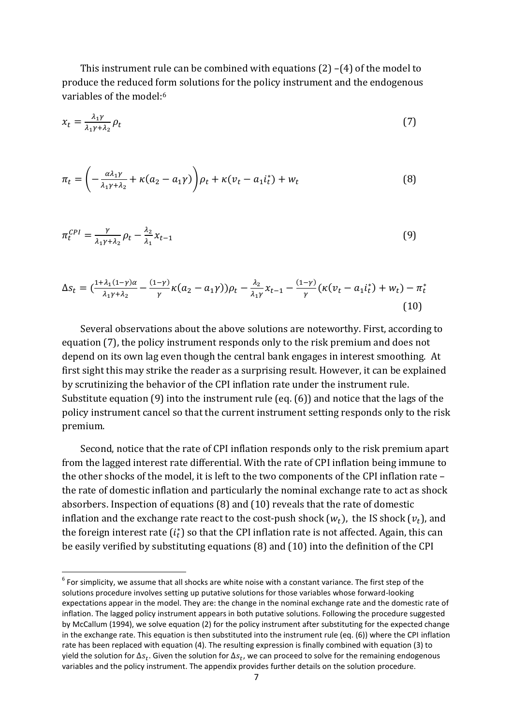This instrument rule can be combined with equations (2) –(4) of the model to produce the reduced form solutions for the policy instrument and the endogenous variables of the model:<sup>6</sup>

$$
x_t = \frac{\lambda_1 \gamma}{\lambda_1 \gamma + \lambda_2} \rho_t \tag{7}
$$

$$
\pi_t = \left(-\frac{a\lambda_1\gamma}{\lambda_1\gamma + \lambda_2} + \kappa(a_2 - a_1\gamma)\right)\rho_t + \kappa(v_t - a_1i_t^*) + w_t
$$
\n(8)

$$
\pi_t^{CPI} = \frac{\gamma}{\lambda_1 \gamma + \lambda_2} \rho_t - \frac{\lambda_2}{\lambda_1} \chi_{t-1} \tag{9}
$$

$$
\Delta s_t = \left(\frac{1 + \lambda_1(1 - \gamma)\alpha}{\lambda_1 \gamma + \lambda_2} - \frac{(1 - \gamma)}{\gamma} \kappa (a_2 - a_1 \gamma)\right) \rho_t - \frac{\lambda_2}{\lambda_1 \gamma} x_{t-1} - \frac{(1 - \gamma)}{\gamma} \left(\kappa (v_t - a_1 i_t^*) + w_t\right) - \pi_t^* \tag{10}
$$

Several observations about the above solutions are noteworthy. First, according to equation (7), the policy instrument responds only to the risk premium and does not depend on its own lag even though the central bank engages in interest smoothing. At first sight this may strike the reader as a surprising result. However, it can be explained by scrutinizing the behavior of the CPI inflation rate under the instrument rule. Substitute equation (9) into the instrument rule (eq. (6)) and notice that the lags of the policy instrument cancel so that the current instrument setting responds only to the risk premium.

Second, notice that the rate of CPI inflation responds only to the risk premium apart from the lagged interest rate differential. With the rate of CPI inflation being immune to the other shocks of the model, it is left to the two components of the CPI inflation rate – the rate of domestic inflation and particularly the nominal exchange rate to act as shock absorbers. Inspection of equations (8) and (10) reveals that the rate of domestic inflation and the exchange rate react to the cost-push shock  $(w_t)$ , the IS shock  $(v_t)$ , and the foreign interest rate  $(i<sub>t</sub><sup>*</sup>)$  so that the CPI inflation rate is not affected. Again, this can be easily verified by substituting equations (8) and (10) into the definition of the CPI

 $<sup>6</sup>$  For simplicity, we assume that all shocks are white noise with a constant variance. The first step of the</sup> solutions procedure involves setting up putative solutions for those variables whose forward-looking expectations appear in the model. They are: the change in the nominal exchange rate and the domestic rate of inflation. The lagged policy instrument appears in both putative solutions. Following the procedure suggested by McCallum (1994), we solve equation (2) for the policy instrument after substituting for the expected change in the exchange rate. This equation is then substituted into the instrument rule (eq. (6)) where the CPI inflation rate has been replaced with equation (4). The resulting expression is finally combined with equation (3) to yield the solution for  $\Delta s_t$ . Given the solution for  $\Delta s_t$ , we can proceed to solve for the remaining endogenous variables and the policy instrument. The appendix provides further details on the solution procedure.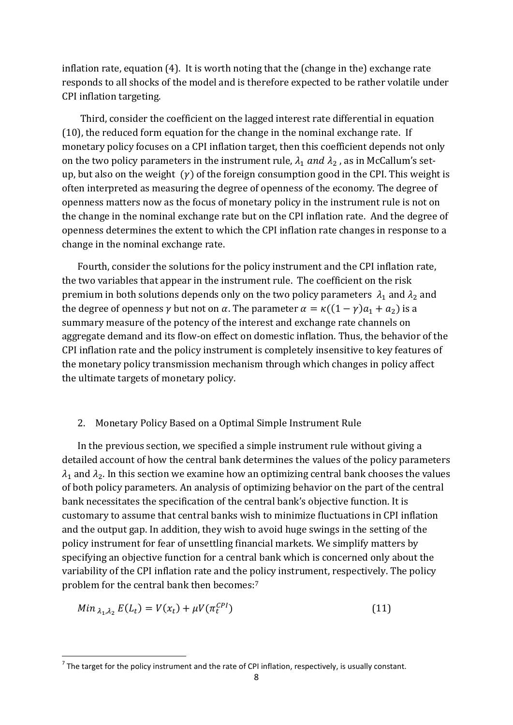inflation rate, equation (4). It is worth noting that the (change in the) exchange rate responds to all shocks of the model and is therefore expected to be rather volatile under CPI inflation targeting.

Third, consider the coefficient on the lagged interest rate differential in equation (10), the reduced form equation for the change in the nominal exchange rate. If monetary policy focuses on a CPI inflation target, then this coefficient depends not only on the two policy parameters in the instrument rule,  $\lambda_1$  and  $\lambda_2$ , as in McCallum's setup, but also on the weight  $(y)$  of the foreign consumption good in the CPI. This weight is often interpreted as measuring the degree of openness of the economy. The degree of openness matters now as the focus of monetary policy in the instrument rule is not on the change in the nominal exchange rate but on the CPI inflation rate. And the degree of openness determines the extent to which the CPI inflation rate changes in response to a change in the nominal exchange rate.

Fourth, consider the solutions for the policy instrument and the CPI inflation rate, the two variables that appear in the instrument rule. The coefficient on the risk premium in both solutions depends only on the two policy parameters  $\lambda_1$  and  $\lambda_2$  and the degree of openness  $\gamma$  but not on  $\alpha$ . The parameter  $\alpha = \kappa((1 - \gamma)a_1 + a_2)$  is a summary measure of the potency of the interest and exchange rate channels on aggregate demand and its flow-on effect on domestic inflation. Thus, the behavior of the CPI inflation rate and the policy instrument is completely insensitive to key features of the monetary policy transmission mechanism through which changes in policy affect the ultimate targets of monetary policy.

#### 2. Monetary Policy Based on a Optimal Simple Instrument Rule

In the previous section, we specified a simple instrument rule without giving a detailed account of how the central bank determines the values of the policy parameters  $\lambda_1$  and  $\lambda_2$ . In this section we examine how an optimizing central bank chooses the values of both policy parameters. An analysis of optimizing behavior on the part of the central bank necessitates the specification of the central bank's objective function. It is customary to assume that central banks wish to minimize fluctuations in CPI inflation and the output gap. In addition, they wish to avoid huge swings in the setting of the policy instrument for fear of unsettling financial markets. We simplify matters by specifying an objective function for a central bank which is concerned only about the variability of the CPI inflation rate and the policy instrument, respectively. The policy problem for the central bank then becomes:<sup>7</sup>

$$
Min_{\lambda_1, \lambda_2} E(L_t) = V(x_t) + \mu V(\pi_t^{CPI})
$$
\n(11)

 $^7$  The target for the policy instrument and the rate of CPI inflation, respectively, is usually constant.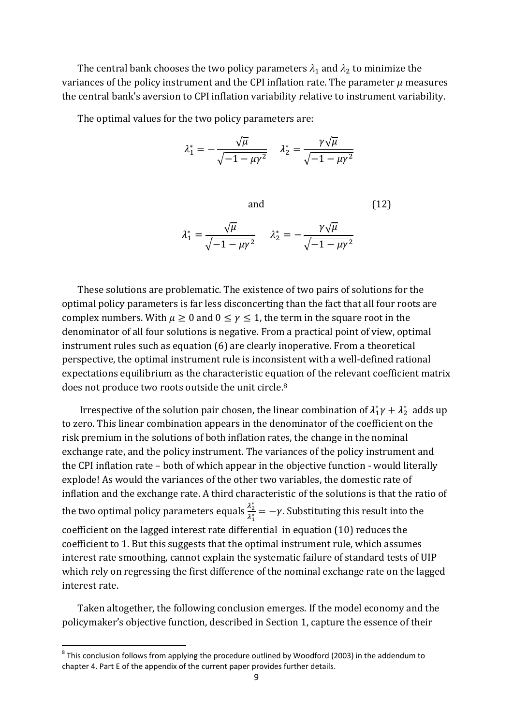The central bank chooses the two policy parameters  $\lambda_1$  and  $\lambda_2$  to minimize the variances of the policy instrument and the CPI inflation rate. The parameter  $\mu$  measures the central bank's aversion to CPI inflation variability relative to instrument variability.

The optimal values for the two policy parameters are:

$$
\lambda_1^* = -\frac{\sqrt{\mu}}{\sqrt{-1 - \mu\gamma^2}} \quad \lambda_2^* = \frac{\gamma\sqrt{\mu}}{\sqrt{-1 - \mu\gamma^2}}
$$

and (12)  $\lambda_1^* = \frac{\sqrt{2}}{\sqrt{2\pi}}$  $\sqrt{}$  $\lambda_2^* = -\frac{\gamma}{\sqrt{2\pi}}$  $\sqrt{}$ 

These solutions are problematic. The existence of two pairs of solutions for the optimal policy parameters is far less disconcerting than the fact that all four roots are complex numbers. With  $\mu \geq 0$  and  $0 \leq \gamma \leq 1$ , the term in the square root in the denominator of all four solutions is negative. From a practical point of view, optimal instrument rules such as equation (6) are clearly inoperative. From a theoretical perspective, the optimal instrument rule is inconsistent with a well-defined rational expectations equilibrium as the characteristic equation of the relevant coefficient matrix does not produce two roots outside the unit circle.<sup>8</sup>

Irrespective of the solution pair chosen, the linear combination of  $\lambda_1^* \gamma + \lambda_2^*$  adds up to zero. This linear combination appears in the denominator of the coefficient on the risk premium in the solutions of both inflation rates, the change in the nominal exchange rate, and the policy instrument. The variances of the policy instrument and the CPI inflation rate – both of which appear in the objective function - would literally explode! As would the variances of the other two variables, the domestic rate of inflation and the exchange rate. A third characteristic of the solutions is that the ratio of the two optimal policy parameters equals  $\frac{\lambda_2^*}{\lambda_1^*}$  $\frac{\lambda_2}{\lambda_1^*} = -\gamma$ . Substituting this result into the coefficient on the lagged interest rate differential in equation (10) reduces the coefficient to 1. But this suggests that the optimal instrument rule, which assumes interest rate smoothing, cannot explain the systematic failure of standard tests of UIP which rely on regressing the first difference of the nominal exchange rate on the lagged interest rate.

Taken altogether, the following conclusion emerges. If the model economy and the policymaker's objective function, described in Section 1, capture the essence of their

 $^8$  This conclusion follows from applying the procedure outlined by Woodford (2003) in the addendum to chapter 4. Part E of the appendix of the current paper provides further details.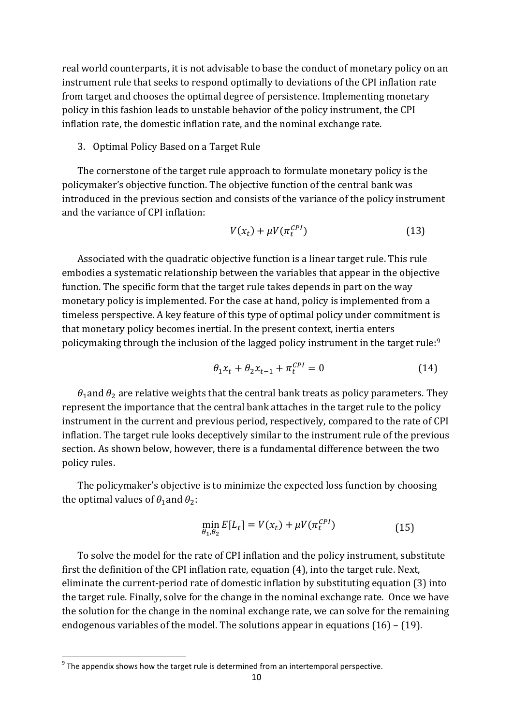real world counterparts, it is not advisable to base the conduct of monetary policy on an instrument rule that seeks to respond optimally to deviations of the CPI inflation rate from target and chooses the optimal degree of persistence. Implementing monetary policy in this fashion leads to unstable behavior of the policy instrument, the CPI inflation rate, the domestic inflation rate, and the nominal exchange rate.

3. Optimal Policy Based on a Target Rule

The cornerstone of the target rule approach to formulate monetary policy is the policymaker's objective function. The objective function of the central bank was introduced in the previous section and consists of the variance of the policy instrument and the variance of CPI inflation:

$$
V(x_t) + \mu V(\pi_t^{CPI})
$$
\n(13)

Associated with the quadratic objective function is a linear target rule. This rule embodies a systematic relationship between the variables that appear in the objective function. The specific form that the target rule takes depends in part on the way monetary policy is implemented. For the case at hand, policy is implemented from a timeless perspective. A key feature of this type of optimal policy under commitment is that monetary policy becomes inertial. In the present context, inertia enters policymaking through the inclusion of the lagged policy instrument in the target rule:<sup>9</sup>

$$
\theta_1 x_t + \theta_2 x_{t-1} + \pi_t^{CPI} = 0 \tag{14}
$$

 $\theta_1$  and  $\theta_2$  are relative weights that the central bank treats as policy parameters. They represent the importance that the central bank attaches in the target rule to the policy instrument in the current and previous period, respectively, compared to the rate of CPI inflation. The target rule looks deceptively similar to the instrument rule of the previous section. As shown below, however, there is a fundamental difference between the two policy rules.

The policymaker's objective is to minimize the expected loss function by choosing the optimal values of  $\theta_1$  and  $\theta_2$ :

$$
\min_{\theta_1, \theta_2} E[L_t] = V(x_t) + \mu V(\pi_t^{CPI})
$$
\n(15)

To solve the model for the rate of CPI inflation and the policy instrument, substitute first the definition of the CPI inflation rate, equation (4), into the target rule. Next, eliminate the current-period rate of domestic inflation by substituting equation (3) into the target rule. Finally, solve for the change in the nominal exchange rate. Once we have the solution for the change in the nominal exchange rate, we can solve for the remaining endogenous variables of the model. The solutions appear in equations (16) – (19).

 $9$  The appendix shows how the target rule is determined from an intertemporal perspective.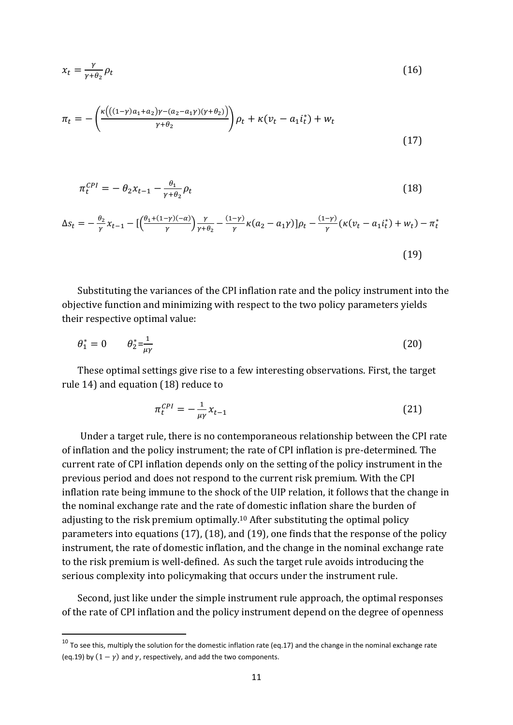$$
x_t = \frac{\gamma}{\gamma + \theta_2} \rho_t \tag{16}
$$

$$
\pi_t = -\left(\frac{\kappa\left(((1-\gamma)a_1 + a_2)\gamma - (a_2 - a_1\gamma)(\gamma + \theta_2)\right)}{\gamma + \theta_2}\right)\rho_t + \kappa(v_t - a_1i_t^*) + w_t\tag{17}
$$

$$
\pi_t^{CPI} = -\theta_2 x_{t-1} - \frac{\theta_1}{\gamma + \theta_2} \rho_t \tag{18}
$$

$$
\Delta s_t = -\frac{\theta_2}{\gamma} x_{t-1} - \left[ \left( \frac{\theta_1 + (1-\gamma)(-\alpha)}{\gamma} \right) \frac{\gamma}{\gamma + \theta_2} - \frac{(1-\gamma)}{\gamma} \kappa (a_2 - a_1 \gamma) \right] \rho_t - \frac{(1-\gamma)}{\gamma} (\kappa (v_t - a_1 i_t^*) + w_t) - \pi_t^*
$$
\n(19)

Substituting the variances of the CPI inflation rate and the policy instrument into the objective function and minimizing with respect to the two policy parameters yields their respective optimal value:

$$
\theta_1^* = 0 \qquad \theta_2^* = \frac{1}{\mu \gamma} \tag{20}
$$

These optimal settings give rise to a few interesting observations. First, the target rule 14) and equation (18) reduce to

$$
\pi_t^{CPI} = -\frac{1}{\mu \gamma} x_{t-1} \tag{21}
$$

Under a target rule, there is no contemporaneous relationship between the CPI rate of inflation and the policy instrument; the rate of CPI inflation is pre-determined. The current rate of CPI inflation depends only on the setting of the policy instrument in the previous period and does not respond to the current risk premium. With the CPI inflation rate being immune to the shock of the UIP relation, it follows that the change in the nominal exchange rate and the rate of domestic inflation share the burden of adjusting to the risk premium optimally.<sup>10</sup> After substituting the optimal policy parameters into equations (17), (18), and (19), one finds that the response of the policy instrument, the rate of domestic inflation, and the change in the nominal exchange rate to the risk premium is well-defined. As such the target rule avoids introducing the serious complexity into policymaking that occurs under the instrument rule.

Second, just like under the simple instrument rule approach, the optimal responses of the rate of CPI inflation and the policy instrument depend on the degree of openness

 $\overline{\phantom{a}}$ 

 $10$  To see this. multiply the solution for the domestic inflation rate (eq.17) and the change in the nominal exchange rate (eq.19) by  $(1 - \gamma)$  and  $\gamma$ , respectively, and add the two components.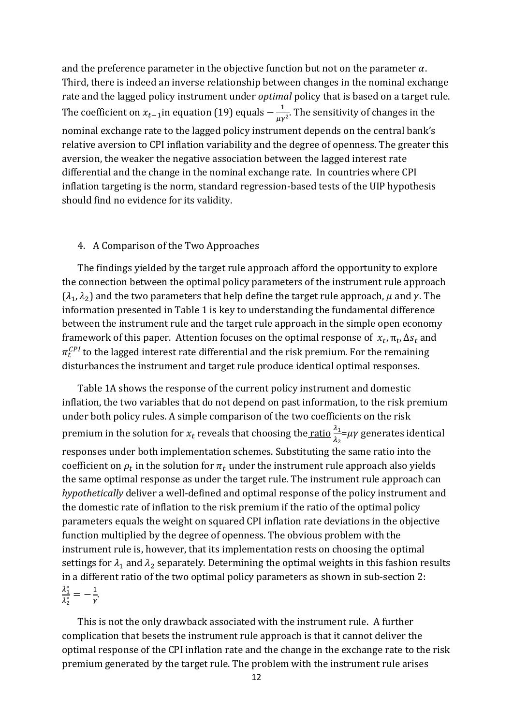and the preference parameter in the objective function but not on the parameter  $\alpha$ . Third, there is indeed an inverse relationship between changes in the nominal exchange rate and the lagged policy instrument under *optimal* policy that is based on a target rule. The coefficient on  $x_{t-1}$ in equation (19) equals  $-\frac{1}{t}$  $\frac{1}{\mu\gamma^2}$ . The sensitivity of changes in the nominal exchange rate to the lagged policy instrument depends on the central bank's relative aversion to CPI inflation variability and the degree of openness. The greater this aversion, the weaker the negative association between the lagged interest rate differential and the change in the nominal exchange rate. In countries where CPI inflation targeting is the norm, standard regression-based tests of the UIP hypothesis should find no evidence for its validity.

#### 4. A Comparison of the Two Approaches

The findings yielded by the target rule approach afford the opportunity to explore the connection between the optimal policy parameters of the instrument rule approach  $(\lambda_1, \lambda_2)$  and the two parameters that help define the target rule approach,  $\mu$  and  $\gamma$ . The information presented in Table 1 is key to understanding the fundamental difference between the instrument rule and the target rule approach in the simple open economy framework of this paper. Attention focuses on the optimal response of  $x_t$ ,  $\pi_t$ ,  $\Delta s_t$  and  $\pi_t^{CPI}$  to the lagged interest rate differential and the risk premium. For the remaining disturbances the instrument and target rule produce identical optimal responses.

Table 1A shows the response of the current policy instrument and domestic inflation, the two variables that do not depend on past information, to the risk premium under both policy rules. A simple comparison of the two coefficients on the risk premium in the solution for  $x_t$  reveals that choosing the <u>ratio  $\frac{\lambda_1}{\lambda_2}$ </u>= $\mu\gamma$  generates identical responses under both implementation schemes. Substituting the same ratio into the coefficient on  $\rho_t$  in the solution for  $\pi_t$  under the instrument rule approach also yields the same optimal response as under the target rule. The instrument rule approach can *hypothetically* deliver a well-defined and optimal response of the policy instrument and the domestic rate of inflation to the risk premium if the ratio of the optimal policy parameters equals the weight on squared CPI inflation rate deviations in the objective function multiplied by the degree of openness. The obvious problem with the instrument rule is, however, that its implementation rests on choosing the optimal settings for  $\lambda_1$  and  $\lambda_2$  separately. Determining the optimal weights in this fashion results in a different ratio of the two optimal policy parameters as shown in sub-section 2:  $\lambda_1^*$  $\overline{\lambda_2^*}$  $\mathbf{1}$  $\frac{1}{\gamma}$ .

This is not the only drawback associated with the instrument rule. A further complication that besets the instrument rule approach is that it cannot deliver the optimal response of the CPI inflation rate and the change in the exchange rate to the risk premium generated by the target rule. The problem with the instrument rule arises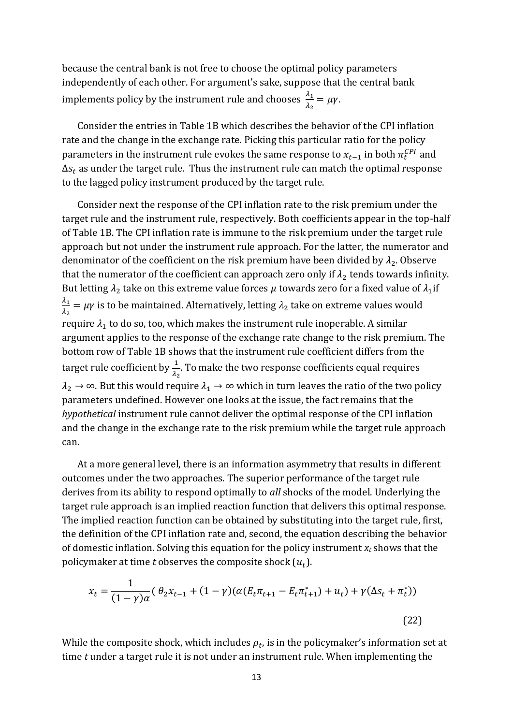because the central bank is not free to choose the optimal policy parameters independently of each other. For argument's sake, suppose that the central bank implements policy by the instrument rule and chooses  $\frac{\lambda_1}{\lambda_2} = \mu \gamma$ .

Consider the entries in Table 1B which describes the behavior of the CPI inflation rate and the change in the exchange rate. Picking this particular ratio for the policy parameters in the instrument rule evokes the same response to  $x_{t-1}$  in both  $\pi_t^{CPI}$  and  $\Delta s_t$  as under the target rule. Thus the instrument rule can match the optimal response to the lagged policy instrument produced by the target rule.

Consider next the response of the CPI inflation rate to the risk premium under the target rule and the instrument rule, respectively. Both coefficients appear in the top-half of Table 1B. The CPI inflation rate is immune to the risk premium under the target rule approach but not under the instrument rule approach. For the latter, the numerator and denominator of the coefficient on the risk premium have been divided by  $\lambda_2$ . Observe that the numerator of the coefficient can approach zero only if  $\lambda_2$  tends towards infinity. But letting  $\lambda_2$  take on this extreme value forces  $\mu$  towards zero for a fixed value of  $\lambda_1$ if λ  $\frac{\lambda_1}{\lambda_2} = \mu \gamma$  is to be maintained. Alternatively, letting  $\lambda_2$  take on extreme values would require  $\lambda_1$  to do so, too, which makes the instrument rule inoperable. A similar argument applies to the response of the exchange rate change to the risk premium. The bottom row of Table 1B shows that the instrument rule coefficient differs from the target rule coefficient by  $\frac{1}{\lambda_2}$ . To make the two response coefficients equal requires  $\lambda_2 \to \infty$ . But this would require  $\lambda_1 \to \infty$  which in turn leaves the ratio of the two policy parameters undefined. However one looks at the issue, the fact remains that the *hypothetical* instrument rule cannot deliver the optimal response of the CPI inflation and the change in the exchange rate to the risk premium while the target rule approach can.

At a more general level, there is an information asymmetry that results in different outcomes under the two approaches. The superior performance of the target rule derives from its ability to respond optimally to *all* shocks of the model. Underlying the target rule approach is an implied reaction function that delivers this optimal response. The implied reaction function can be obtained by substituting into the target rule, first, the definition of the CPI inflation rate and, second, the equation describing the behavior of domestic inflation. Solving this equation for the policy instrument *x<sup>t</sup>* shows that the policymaker at time *t* observes the composite shock  $(u_t)$ .

$$
x_t = \frac{1}{(1 - \gamma)\alpha} \left( \theta_2 x_{t-1} + (1 - \gamma) (\alpha (E_t \pi_{t+1} - E_t \pi_{t+1}^*) + u_t) + \gamma (\Delta s_t + \pi_t^*) \right)
$$
\n(22)

While the composite shock, which includes  $\rho_t$ , is in the policymaker's information set at time *t* under a target rule it is not under an instrument rule. When implementing the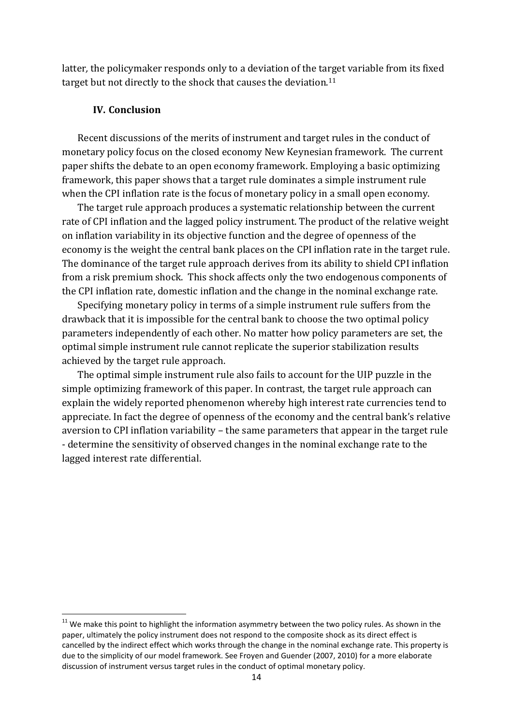latter*,* the policymaker responds only to a deviation of the target variable from its fixed target but not directly to the shock that causes the deviation.<sup>11</sup>

# **IV. Conclusion**

1

Recent discussions of the merits of instrument and target rules in the conduct of monetary policy focus on the closed economy New Keynesian framework. The current paper shifts the debate to an open economy framework. Employing a basic optimizing framework, this paper shows that a target rule dominates a simple instrument rule when the CPI inflation rate is the focus of monetary policy in a small open economy.

The target rule approach produces a systematic relationship between the current rate of CPI inflation and the lagged policy instrument. The product of the relative weight on inflation variability in its objective function and the degree of openness of the economy is the weight the central bank places on the CPI inflation rate in the target rule. The dominance of the target rule approach derives from its ability to shield CPI inflation from a risk premium shock. This shock affects only the two endogenous components of the CPI inflation rate, domestic inflation and the change in the nominal exchange rate.

Specifying monetary policy in terms of a simple instrument rule suffers from the drawback that it is impossible for the central bank to choose the two optimal policy parameters independently of each other. No matter how policy parameters are set, the optimal simple instrument rule cannot replicate the superior stabilization results achieved by the target rule approach.

The optimal simple instrument rule also fails to account for the UIP puzzle in the simple optimizing framework of this paper. In contrast, the target rule approach can explain the widely reported phenomenon whereby high interest rate currencies tend to appreciate. In fact the degree of openness of the economy and the central bank's relative aversion to CPI inflation variability – the same parameters that appear in the target rule - determine the sensitivity of observed changes in the nominal exchange rate to the lagged interest rate differential.

 $11$  We make this point to highlight the information asymmetry between the two policy rules. As shown in the paper, ultimately the policy instrument does not respond to the composite shock as its direct effect is cancelled by the indirect effect which works through the change in the nominal exchange rate. This property is due to the simplicity of our model framework. See Froyen and Guender (2007, 2010) for a more elaborate discussion of instrument versus target rules in the conduct of optimal monetary policy.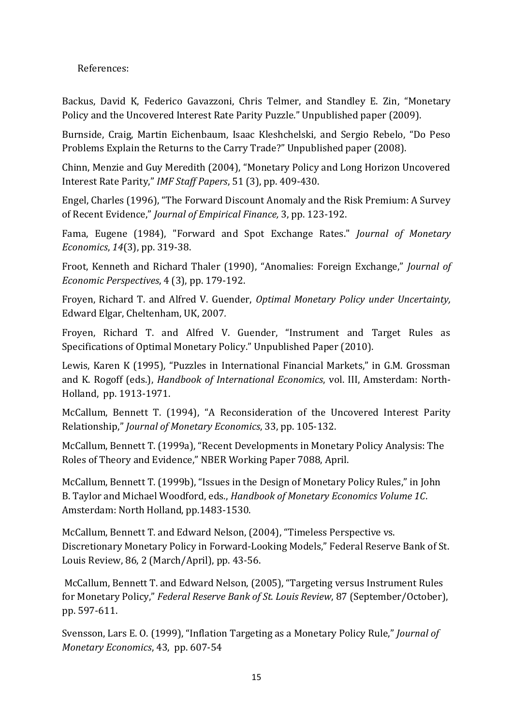References:

Backus, David K, Federico Gavazzoni, Chris Telmer, and Standley E. Zin, "Monetary Policy and the Uncovered Interest Rate Parity Puzzle." Unpublished paper (2009).

Burnside, Craig, Martin Eichenbaum, Isaac Kleshchelski, and Sergio Rebelo, "Do Peso Problems Explain the Returns to the Carry Trade?" Unpublished paper (2008).

Chinn, Menzie and Guy Meredith (2004), "Monetary Policy and Long Horizon Uncovered Interest Rate Parity," *IMF Staff Papers*, 51 (3), pp. 409-430.

Engel, Charles (1996), "The Forward Discount Anomaly and the Risk Premium: A Survey of Recent Evidence," *Journal of Empirical Finance,* 3, pp. 123-192.

Fama, Eugene (1984), "Forward and Spot Exchange Rates." *Journal of Monetary Economics*, *14*(3), pp. 319-38.

Froot, Kenneth and Richard Thaler (1990), "Anomalies: Foreign Exchange," *Journal of Economic Perspectives*, 4 (3), pp. 179-192.

Froyen, Richard T. and Alfred V. Guender, *Optimal Monetary Policy under Uncertainty,*  Edward Elgar, Cheltenham, UK, 2007*.*

Froyen, Richard T. and Alfred V. Guender, "Instrument and Target Rules as Specifications of Optimal Monetary Policy." Unpublished Paper (2010).

Lewis, Karen K (1995), "Puzzles in International Financial Markets," in G.M. Grossman and K. Rogoff (eds.), *Handbook of International Economics*, vol. III, Amsterdam: North-Holland, pp. 1913-1971.

McCallum, Bennett T. (1994), "A Reconsideration of the Uncovered Interest Parity Relationship," *Journal of Monetary Economics*, 33, pp. 105-132.

McCallum, Bennett T. (1999a), "Recent Developments in Monetary Policy Analysis: The Roles of Theory and Evidence," NBER Working Paper 7088, April.

McCallum, Bennett T. (1999b), "Issues in the Design of Monetary Policy Rules," in John B. Taylor and Michael Woodford, eds., *Handbook of Monetary Economics Volume 1C*. Amsterdam: North Holland, pp.1483-1530.

McCallum, Bennett T. and Edward Nelson, (2004), "Timeless Perspective vs. Discretionary Monetary Policy in Forward-Looking Models," Federal Reserve Bank of St. Louis Review, 86, 2 (March/April), pp. 43-56.

McCallum, Bennett T. and Edward Nelson, (2005), "Targeting versus Instrument Rules for Monetary Policy," *Federal Reserve Bank of St. Louis Review*, 87 (September/October), pp. 597-611.

Svensson, Lars E. O. (1999), "Inflation Targeting as a Monetary Policy Rule," *Journal of Monetary Economics*, 43, pp. 607-54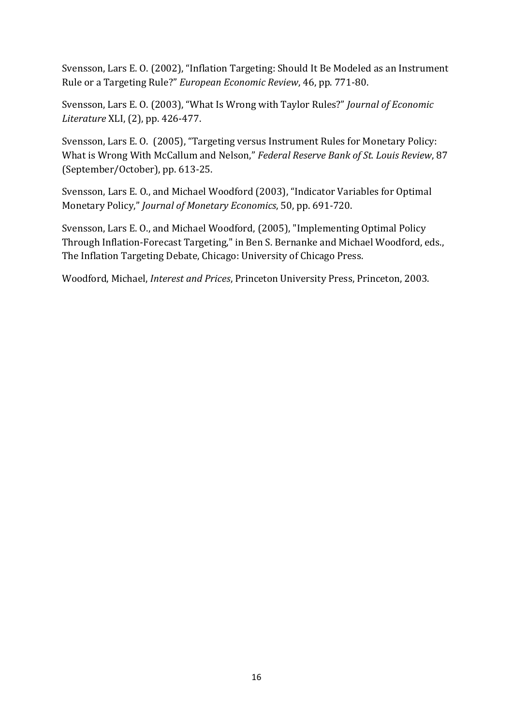Svensson, Lars E. O. (2002), "Inflation Targeting: Should It Be Modeled as an Instrument Rule or a Targeting Rule?" *European Economic Review*, 46, pp. 771-80.

Svensson, Lars E. O. (2003), "What Is Wrong with Taylor Rules?" *Journal of Economic Literature* XLI, (2), pp. 426-477.

Svensson, Lars E. O. (2005), "Targeting versus Instrument Rules for Monetary Policy: What is Wrong With McCallum and Nelson," *Federal Reserve Bank of St. Louis Review*, 87 (September/October), pp. 613-25.

Svensson, Lars E. O., and Michael Woodford (2003), "Indicator Variables for Optimal Monetary Policy," *Journal of Monetary Economics*, 50, pp. 691-720.

Svensson, Lars E. O., and Michael Woodford, (2005), "Implementing Optimal Policy Through Inflation-Forecast Targeting," in Ben S. Bernanke and Michael Woodford, eds., The Inflation Targeting Debate, Chicago: University of Chicago Press.

Woodford, Michael, *Interest and Prices*, Princeton University Press, Princeton, 2003.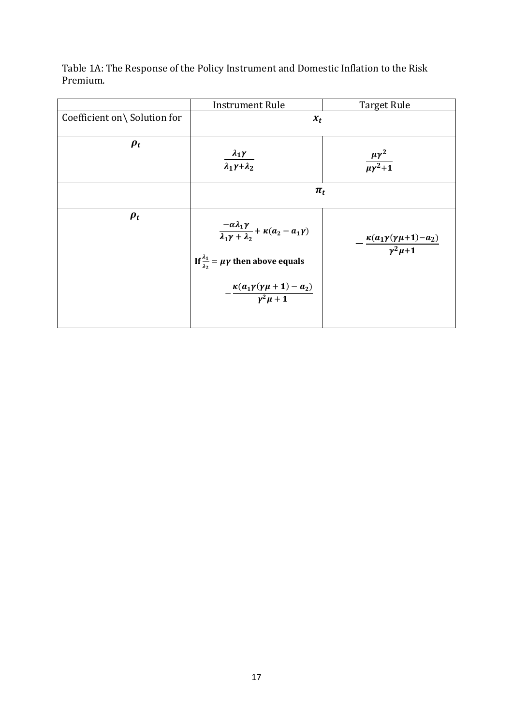|                              | <b>Instrument Rule</b>                                                                                                                                                                                             | <b>Target Rule</b>                                                      |
|------------------------------|--------------------------------------------------------------------------------------------------------------------------------------------------------------------------------------------------------------------|-------------------------------------------------------------------------|
| Coefficient on\ Solution for | $x_t$                                                                                                                                                                                                              |                                                                         |
| $\boldsymbol{\rho_t}$        | $\frac{\lambda_1 \gamma}{\lambda_1 \gamma + \lambda_2}$                                                                                                                                                            | $\frac{\mu\gamma^2}{\mu\gamma^2+1}$                                     |
|                              | $\pi_t$                                                                                                                                                                                                            |                                                                         |
| $\boldsymbol{\rho_t}$        | $\frac{-\alpha\lambda_1\gamma}{\lambda_1\gamma+\lambda_2}+\kappa(a_2-a_1\gamma)$<br>If $\frac{\lambda_1}{\lambda_2} = \mu \gamma$ then above equals<br>$-\frac{\kappa(a_1\gamma(\gamma\mu+1)-a_2)}{\gamma^2\mu+1}$ | $\cdot \frac{\kappa (a_1 \gamma (\gamma \mu +1)-a_2)}{\gamma^2 \mu +1}$ |

Table 1A: The Response of the Policy Instrument and Domestic Inflation to the Risk Premium.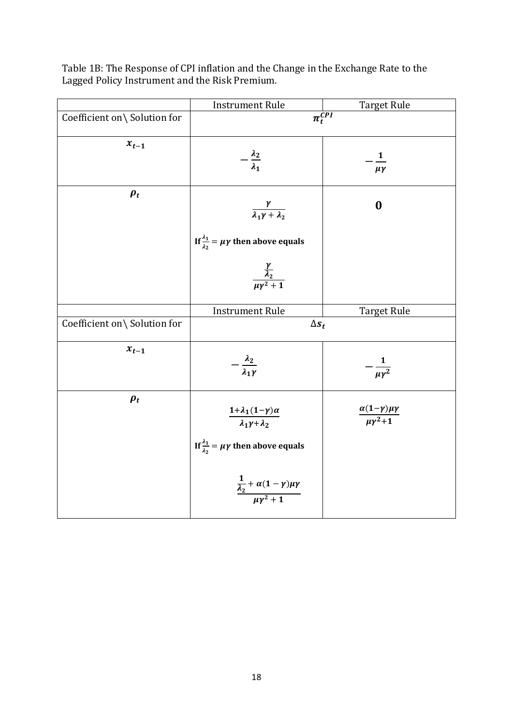|                              | <b>Instrument Rule</b>                                                    | <b>Target Rule</b>                                |
|------------------------------|---------------------------------------------------------------------------|---------------------------------------------------|
| Coefficient on\ Solution for | $\overline{\pi_t^{CPI}}$                                                  |                                                   |
| $x_{t-1}$                    | $-\frac{\lambda_2}{\lambda_1}$                                            | $\overline{\mathbf{1}}$<br>$\mu\gamma$            |
| $\rho_t$                     | $\frac{\gamma}{\lambda_1\gamma+\lambda_2}$                                | $\boldsymbol{0}$                                  |
|                              | If $\frac{\lambda_1}{\lambda_2} = \mu \gamma$ then above equals           |                                                   |
|                              | $\frac{\frac{\gamma}{\lambda_2}}{\mu \gamma^2 + 1}$                       |                                                   |
|                              | <b>Instrument Rule</b>                                                    | <b>Target Rule</b>                                |
| Coefficient on\ Solution for | $\Delta s_t$                                                              |                                                   |
| $x_{t-1}$                    | $-\frac{\lambda_2}{\lambda_1\gamma}$                                      | $-\frac{1}{\mu\gamma^2}$                          |
| $\rho_t$                     | $\frac{1+\lambda_1(1-\gamma)\alpha}{\lambda_1\gamma+\lambda_2}$           | $\frac{\alpha(1-\gamma)\mu\gamma}{\mu\gamma^2+1}$ |
|                              | If $\frac{\lambda_1}{\lambda_2} = \mu \gamma$ then above equals           |                                                   |
|                              | $\frac{\frac{1}{\lambda_2} + \alpha(1-\gamma)\mu\gamma}{\mu\gamma^2 + 1}$ |                                                   |

Table 1B: The Response of CPI inflation and the Change in the Exchange Rate to the Lagged Policy Instrument and the Risk Premium.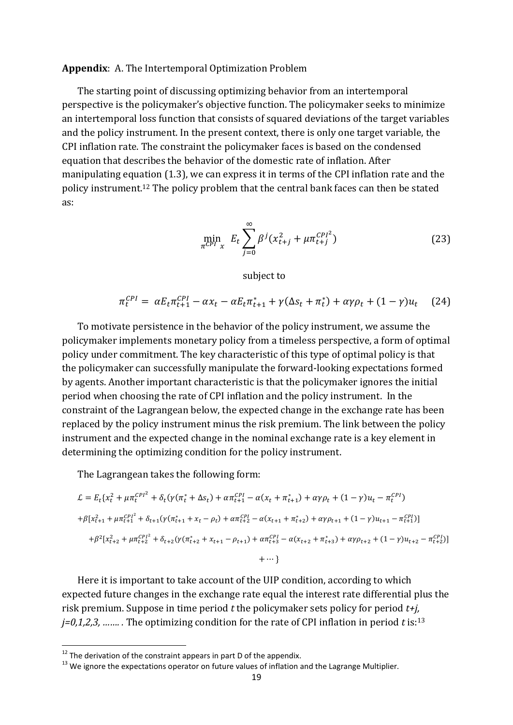#### **Appendix**: A. The Intertemporal Optimization Problem

The starting point of discussing optimizing behavior from an intertemporal perspective is the policymaker's objective function. The policymaker seeks to minimize an intertemporal loss function that consists of squared deviations of the target variables and the policy instrument. In the present context, there is only one target variable, the CPI inflation rate. The constraint the policymaker faces is based on the condensed equation that describes the behavior of the domestic rate of inflation. After manipulating equation (1.3), we can express it in terms of the CPI inflation rate and the policy instrument.<sup>12</sup> The policy problem that the central bank faces can then be stated as:

$$
\min_{\pi^{CPI} x} E_t \sum_{j=0}^{\infty} \beta^j (x_{t+j}^2 + \mu \pi_{t+j}^{CPI^2})
$$
 (23)

subject to

 $\pi_t^{CPI} = \alpha E_t \pi_{t+1}^{CPI} - \alpha x_t - \alpha E_t \pi_{t+1}^* + \gamma (\Delta s_t + \pi_t^*)$ (24)

To motivate persistence in the behavior of the policy instrument, we assume the policymaker implements monetary policy from a timeless perspective, a form of optimal policy under commitment. The key characteristic of this type of optimal policy is that the policymaker can successfully manipulate the forward-looking expectations formed by agents. Another important characteristic is that the policymaker ignores the initial period when choosing the rate of CPI inflation and the policy instrument. In the constraint of the Lagrangean below, the expected change in the exchange rate has been replaced by the policy instrument minus the risk premium. The link between the policy instrument and the expected change in the nominal exchange rate is a key element in determining the optimizing condition for the policy instrument.

The Lagrangean takes the following form:

$$
\mathcal{L} = E_t \{ x_t^2 + \mu \pi_t^{CPI^2} + \delta_t (\gamma (\pi_t^* + \Delta s_t) + \alpha \pi_{t+1}^{CPI} - \alpha (x_t + \pi_{t+1}^*) + \alpha \gamma \rho_t + (1 - \gamma) u_t - \pi_t^{CPI})
$$
  
+  $\beta [x_{t+1}^2 + \mu \pi_{t+1}^{CPI^2} + \delta_{t+1} (\gamma (\pi_{t+1}^* + x_t - \rho_t) + \alpha \pi_{t+2}^{CPI} - \alpha (x_{t+1} + \pi_{t+2}^*) + \alpha \gamma \rho_{t+1} + (1 - \gamma) u_{t+1} - \pi_{t+1}^{CPI}) ]$   
+  $\beta^2 [x_{t+2}^2 + \mu \pi_{t+2}^{CPI^2} + \delta_{t+2} (\gamma (\pi_{t+2}^* + x_{t+1} - \rho_{t+1}) + \alpha \pi_{t+3}^{CPI} - \alpha (x_{t+2} + \pi_{t+3}^*) + \alpha \gamma \rho_{t+2} + (1 - \gamma) u_{t+2} - \pi_{t+2}^{CPI}) ]$   
+ ...}

Here it is important to take account of the UIP condition, according to which expected future changes in the exchange rate equal the interest rate differential plus the risk premium. Suppose in time period *t* the policymaker sets policy for period *t+j, j=0,1,2,3, ……. .* The optimizing condition for the rate of CPI inflation in period *t* is:<sup>13</sup>

 $12$  The derivation of the constraint appears in part D of the appendix.

<sup>&</sup>lt;sup>13</sup> We ignore the expectations operator on future values of inflation and the Lagrange Multiplier.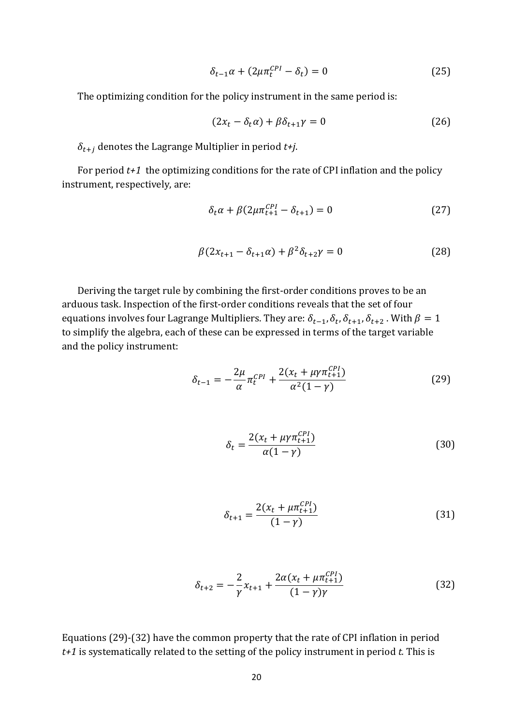$$
\delta_{t-1}\alpha + (2\mu \pi_t^{CPI} - \delta_t) = 0 \tag{25}
$$

The optimizing condition for the policy instrument in the same period is:

$$
(2x_t - \delta_t \alpha) + \beta \delta_{t+1} \gamma = 0 \tag{26}
$$

 $\delta_{t+i}$  denotes the Lagrange Multiplier in period  $t+j$ .

For period *t+1* the optimizing conditions for the rate of CPI inflation and the policy instrument, respectively, are:

$$
\delta_t \alpha + \beta (2\mu \pi_{t+1}^{CPI} - \delta_{t+1}) = 0 \tag{27}
$$

$$
\beta(2x_{t+1} - \delta_{t+1}\alpha) + \beta^2 \delta_{t+2}\gamma = 0
$$
\n(28)

Deriving the target rule by combining the first-order conditions proves to be an arduous task. Inspection of the first-order conditions reveals that the set of four equations involves four Lagrange Multipliers. They are:  $\delta_{t-1}, \delta_t, \delta_{t+1}, \delta_{t+2}$ . With to simplify the algebra, each of these can be expressed in terms of the target variable and the policy instrument:

$$
\delta_{t-1} = -\frac{2\mu}{\alpha} \pi_t^{CPI} + \frac{2(x_t + \mu \gamma \pi_{t+1}^{CPI})}{\alpha^2 (1 - \gamma)}
$$
(29)

$$
\delta_t = \frac{2(x_t + \mu \gamma \pi_{t+1}^{CPI})}{\alpha (1 - \gamma)}
$$
\n(30)

$$
\delta_{t+1} = \frac{2(x_t + \mu \pi_{t+1}^{CPI})}{(1 - \gamma)}
$$
(31)

$$
\delta_{t+2} = -\frac{2}{\gamma} x_{t+1} + \frac{2\alpha (x_t + \mu \pi_{t+1}^{CPI})}{(1 - \gamma)\gamma}
$$
(32)

Equations (29)-(32) have the common property that the rate of CPI inflation in period *t+1* is systematically related to the setting of the policy instrument in period *t.* This is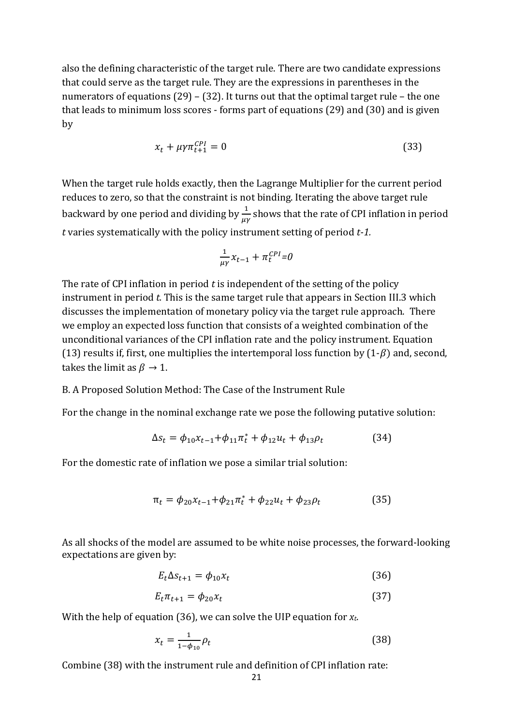also the defining characteristic of the target rule. There are two candidate expressions that could serve as the target rule. They are the expressions in parentheses in the numerators of equations (29) – (32). It turns out that the optimal target rule – the one that leads to minimum loss scores - forms part of equations (29) and (30) and is given by

$$
x_t + \mu \gamma \pi_{t+1}^{CPI} = 0 \tag{33}
$$

When the target rule holds exactly, then the Lagrange Multiplier for the current period reduces to zero, so that the constraint is not binding. Iterating the above target rule backward by one period and dividing by  $\frac{1}{\mu\gamma}$  shows that the rate of CPI inflation in period *t* varies systematically with the policy instrument setting of period *t-1.* 

$$
\frac{1}{\mu\gamma}x_{t-1} + \pi_t^{CPI} = 0
$$

The rate of CPI inflation in period *t* is independent of the setting of the policy instrument in period *t.* This is the same target rule that appears in Section III.3 which discusses the implementation of monetary policy via the target rule approach. There we employ an expected loss function that consists of a weighted combination of the unconditional variances of the CPI inflation rate and the policy instrument. Equation (13) results if, first, one multiplies the intertemporal loss function by  $(1-\beta)$  and, second, takes the limit as  $\beta \rightarrow 1$ .

### B. A Proposed Solution Method: The Case of the Instrument Rule

For the change in the nominal exchange rate we pose the following putative solution:

$$
\Delta s_t = \phi_{10} x_{t-1} + \phi_{11} \pi_t^* + \phi_{12} u_t + \phi_{13} \rho_t \tag{34}
$$

For the domestic rate of inflation we pose a similar trial solution:

$$
\pi_t = \phi_{20} x_{t-1} + \phi_{21} \pi_t^* + \phi_{22} u_t + \phi_{23} \rho_t \tag{35}
$$

As all shocks of the model are assumed to be white noise processes, the forward-looking expectations are given by:

$$
E_t \Delta s_{t+1} = \phi_{10} x_t \tag{36}
$$

$$
E_t \pi_{t+1} = \phi_{20} x_t \tag{37}
$$

With the help of equation (36), we can solve the UIP equation for *xt*.

$$
x_t = \frac{1}{1 - \phi_{10}} \rho_t \tag{38}
$$

Combine (38) with the instrument rule and definition of CPI inflation rate: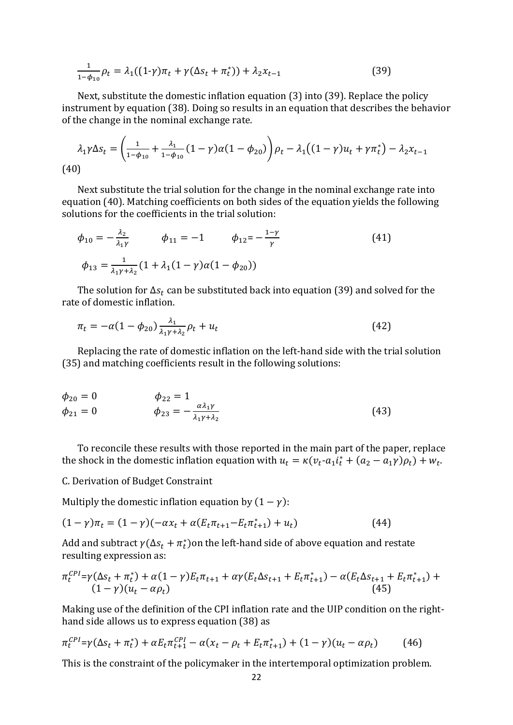$$
\frac{1}{1-\phi_{10}}\rho_t = \lambda_1((1-\gamma)\pi_t + \gamma(\Delta s_t + \pi_t^*)) + \lambda_2 x_{t-1}
$$
\n(39)

Next, substitute the domestic inflation equation (3) into (39). Replace the policy instrument by equation (38). Doing so results in an equation that describes the behavior of the change in the nominal exchange rate.

$$
\lambda_1 \gamma \Delta s_t = \left(\frac{1}{1 - \phi_{10}} + \frac{\lambda_1}{1 - \phi_{10}} (1 - \gamma) \alpha (1 - \phi_{20})\right) \rho_t - \lambda_1 \left((1 - \gamma) u_t + \gamma \pi_t^*\right) - \lambda_2 x_{t-1}
$$
\n(40)

Next substitute the trial solution for the change in the nominal exchange rate into equation (40). Matching coefficients on both sides of the equation yields the following solutions for the coefficients in the trial solution:

$$
\phi_{10} = -\frac{\lambda_2}{\lambda_1 \gamma} \qquad \phi_{11} = -1 \qquad \phi_{12} = -\frac{1-\gamma}{\gamma}
$$
\n
$$
\phi_{13} = \frac{1}{\lambda_1 \gamma + \lambda_2} (1 + \lambda_1 (1 - \gamma) \alpha (1 - \phi_{20}))
$$
\n(41)

The solution for  $\Delta s_t$  can be substituted back into equation (39) and solved for the rate of domestic inflation.

$$
\pi_t = -\alpha (1 - \phi_{20}) \frac{\lambda_1}{\lambda_1 \gamma + \lambda_2} \rho_t + u_t \tag{42}
$$

Replacing the rate of domestic inflation on the left-hand side with the trial solution (35) and matching coefficients result in the following solutions:

$$
\phi_{20} = 0 \qquad \phi_{22} = 1\n\phi_{21} = 0 \qquad \phi_{23} = -\frac{\alpha \lambda_1 \gamma}{\lambda_1 \gamma + \lambda_2}
$$
\n(43)

To reconcile these results with those reported in the main part of the paper, replace the shock in the domestic inflation equation with  $u_t = \kappa (v_t - a_1 i_t^* + (a_2 - a_1 \gamma) \rho_t) + w_t$ .

C. Derivation of Budget Constraint

Multiply the domestic inflation equation by  $(1 - \gamma)$ :

$$
(1 - \gamma)\pi_t = (1 - \gamma)(-\alpha x_t + \alpha (E_t \pi_{t+1} - E_t \pi_{t+1}^*) + u_t)
$$
\n(44)

Add and subtract  $\gamma(\Delta s_t + \pi_t^*)$  on the left-hand side of above equation and restate resulting expression as:

$$
\pi_t^{CPI} = \gamma(\Delta s_t + \pi_t^*) + \alpha(1 - \gamma)E_t\pi_{t+1} + \alpha\gamma(E_t\Delta s_{t+1} + E_t\pi_{t+1}^*) - \alpha(E_t\Delta s_{t+1} + E_t\pi_{t+1}^*) + (1 - \gamma)(u_t - \alpha\rho_t)
$$
\n(45)

Making use of the definition of the CPI inflation rate and the UIP condition on the righthand side allows us to express equation (38) as

$$
\pi_t^{CPI} = \gamma(\Delta s_t + \pi_t^*) + \alpha E_t \pi_{t+1}^{CPI} - \alpha(x_t - \rho_t + E_t \pi_{t+1}^*) + (1 - \gamma)(u_t - \alpha \rho_t)
$$
(46)

This is the constraint of the policymaker in the intertemporal optimization problem.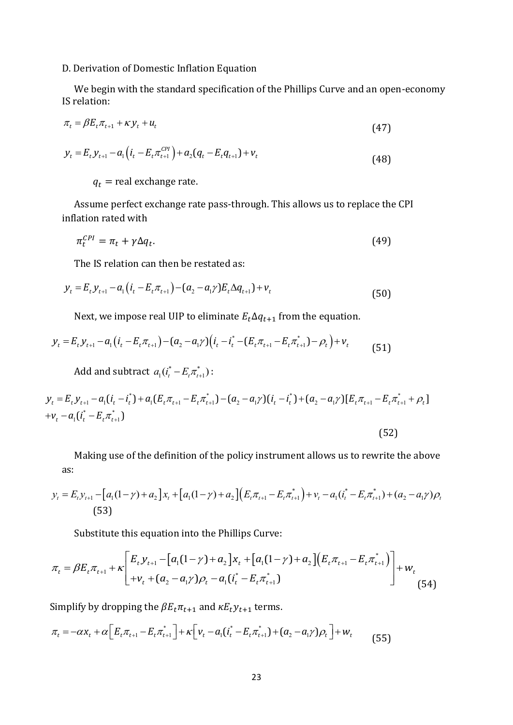### D. Derivation of Domestic Inflation Equation

We begin with the standard specification of the Phillips Curve and an open-economy IS relation:

$$
\pi_t = \beta E_t \pi_{t+1} + \kappa y_t + u_t \tag{47}
$$

$$
y_{t} = E_{t} y_{t+1} - a_{1} \left( i_{t} - E_{t} \pi_{t+1}^{CPI} \right) + a_{2} \left( q_{t} - E_{t} q_{t+1} \right) + v_{t}
$$
\n
$$
(48)
$$

 $q_t$  = real exchange rate.

Assume perfect exchange rate pass-through. This allows us to replace the CPI inflation rated with

$$
\pi_t^{CPI} = \pi_t + \gamma \Delta q_t. \tag{49}
$$

The IS relation can then be restated as:  
\n
$$
y_{t} = E_{t} y_{t+1} - a_{1} (i_{t} - E_{t} \pi_{t+1}) - (a_{2} - a_{1} \gamma) E_{t} \Delta q_{t+1} + v_{t}
$$
\n(50)

Next, we impose real UIP to eliminate  $E_t \Delta q_{t+1}$  from the equation.

Next, we impose real UIP to eliminate 
$$
E_t \Delta q_{t+1}
$$
 from the equation.  
\n
$$
y_t = E_t y_{t+1} - a_1 (i_t - E_t \pi_{t+1}) - (a_2 - a_1 \gamma) (i_t - i_t^* - (E_t \pi_{t+1} - E_t \pi_{t+1}^*) - \rho_t) + v_t
$$
\n(51)

Add and subtract 
$$
a_1(i_t^* - E_t \pi_{t+1}^*)
$$
:  
\n
$$
y_t = E_t y_{t+1} - a_1(i_t - i_t^*) + a_1(E_t \pi_{t+1} - E_t \pi_{t+1}^*) - (a_2 - a_1 \gamma)(i_t - i_t^*) + (a_2 - a_1 \gamma)[E_t \pi_{t+1} - E_t \pi_{t+1}^* + \rho_t]
$$
\n
$$
+ v_t - a_1(i_t^* - E_t \pi_{t+1}^*)
$$
\n(52)

Making use of the definition of the policy instrument allows us to rewrite the above as:  $\binom{r}{t+1} + \nu_t - a_1(i_t^* - E_t \pi_t^*)$ Making use of the definition of the policy instrument allows us to rewrite the above<br>as:<br> $y_t = E_t y_{t+1} - [a_1(1-\gamma) + a_2]x_t + [a_1(1-\gamma) + a_2] (E_t \pi_{t+1} - E_t \pi_{t+1}^*) + v_t - a_1(i_t^* - E_t \pi_{t+1}^*) + (a_2 - a_1\gamma)\rho_t$ 

$$
y_{t} = E_{t}y_{t+1} - [a_{1}(1-\gamma) + a_{2}]x_{t} + [a_{1}(1-\gamma) + a_{2}](E_{t}\pi_{t+1} - E_{t}\pi_{t+1}^{*}) + v_{t} - a_{1}(i_{t}^{*} - E_{t}\pi_{t+1}^{*}) + (a_{2} - a_{1}\gamma)\rho_{t}
$$
\n(53)

Substitute this equation into the Phillips Curve:

Substitute this equation into the Phillips Curve:  
\n
$$
\pi_{t} = \beta E_{t} \pi_{t+1} + \kappa \left[ E_{t} y_{t+1} - \left[ a_{1}(1-\gamma) + a_{2} \right] x_{t} + \left[ a_{1}(1-\gamma) + a_{2} \right] \left( E_{t} \pi_{t+1} - E_{t} \pi_{t+1}^{*} \right) + w_{t} + (a_{2} - a_{1} \gamma) \rho_{t} - a_{1} (i_{t}^{*} - E_{t} \pi_{t+1}^{*}) \right]
$$
\n
$$
(54)
$$

Simplify by dropping the  $\beta E_t \pi_{t+1}$  and  $\kappa E_t y_{t+1}$  terms.

Simplify by dropping the 
$$
\beta E_t \pi_{t+1}
$$
 and  $\kappa E_t y_{t+1}$  terms.  
\n
$$
\pi_t = -\alpha x_t + \alpha \Big[ E_t \pi_{t+1} - E_t \pi_{t+1}^* \Big] + \kappa \Big[ v_t - a_1 (i_t^* - E_t \pi_{t+1}^*) + (a_2 - a_1 \gamma) \rho_t \Big] + w_t \tag{55}
$$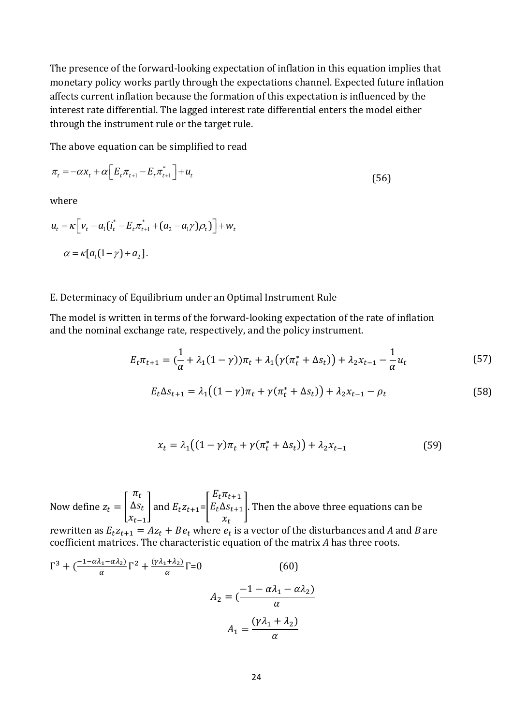The presence of the forward-looking expectation of inflation in this equation implies that monetary policy works partly through the expectations channel. Expected future inflation affects current inflation because the formation of this expectation is influenced by the interest rate differential. The lagged interest rate differential enters the model either through the instrument rule or the target rule.

The above equation can be simplified to read

$$
\pi_t = -\alpha x_t + \alpha \Big[ E_t \pi_{t+1} - E_t \pi_{t+1}^* \Big] + u_t \tag{56}
$$

where

where  
\n
$$
u_{t} = \kappa \Big[ v_{t} - a_{1} (i_{t}^{*} - E_{t} \pi_{t+1}^{*} + (a_{2} - a_{1} \gamma) \rho_{t}) \Big] + w_{t}
$$
\n
$$
\alpha = \kappa [a_{1} (1 - \gamma) + a_{2}].
$$

# E. Determinacy of Equilibrium under an Optimal Instrument Rule

The model is written in terms of the forward-looking expectation of the rate of inflation and the nominal exchange rate, respectively, and the policy instrument.

$$
E_t \pi_{t+1} = \left(\frac{1}{\alpha} + \lambda_1 (1 - \gamma)\right) \pi_t + \lambda_1 \left(\gamma (\pi_t^* + \Delta s_t)\right) + \lambda_2 x_{t-1} - \frac{1}{\alpha} u_t \tag{57}
$$

$$
E_t \Delta s_{t+1} = \lambda_1 \big( (1 - \gamma) \pi_t + \gamma (\pi_t^* + \Delta s_t) \big) + \lambda_2 x_{t-1} - \rho_t \tag{58}
$$

$$
x_t = \lambda_1 \big( (1 - \gamma) \pi_t + \gamma (\pi_t^* + \Delta s_t) \big) + \lambda_2 x_{t-1} \tag{59}
$$

Now define z  $\pi$ Δ  $\mathcal{X}$ and  $E_t z_{t+1} =$ E  $E$  $\mathcal{X}$ . Then the above three equations can be

rewritten as  $E_t z_{t+1} = A z_t + B e_t$  where  $e_t$  is a vector of the disturbances and *A* and *B* are coefficient matrices. The characteristic equation of the matrix *A* has three roots.

$$
\Gamma^3 + \left(\frac{-1 - \alpha \lambda_1 - \alpha \lambda_2}{\alpha}\right) \Gamma^2 + \frac{(\gamma \lambda_1 + \lambda_2)}{\alpha} \Gamma = 0
$$
 (60)  

$$
A_2 = \left(\frac{-1 - \alpha \lambda_1 - \alpha \lambda_2}{\alpha}\right)
$$

$$
A_1 = \frac{(\gamma \lambda_1 + \lambda_2)}{\alpha}
$$